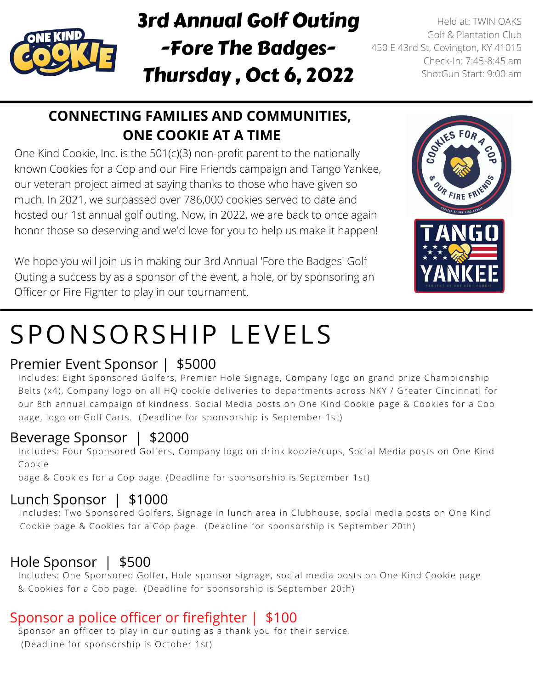

### 3rd Annual Golf Outing -Fore The Badges-Thursday , Oct 6, 2022

Held at: TWIN OAKS Golf & Plantation Club 450 E 43rd St, Covington, KY 41015 Check-In: 7:45-8:45 am ShotGun Start: 9:00 am

### **CONNECTING FAMILIES AND COMMUNITIES, ONE COOKIE AT A TIME**

One Kind Cookie, Inc. is the 501(c)(3) non-profit parent to the nationally known Cookies for a Cop and our Fire Friends campaign and Tango Yankee, our veteran project aimed at saying thanks to those who have given so much. In 2021, we surpassed over 786,000 cookies served to date and hosted our 1st annual golf outing. Now, in 2022, we are back to once again honor those so deserving and we'd love for you to help us make it happen!

We hope you will join us in making our 3rd Annual 'Fore the Badges' Golf Outing a success by as a sponsor of the event, a hole, or by sponsoring an Officer or Fire Fighter to play in our tournament.



# SPONSORSHIP LEVELS

#### Premier Event Sponsor | \$5000

Includes: Eight Sponsored Golfers, Premier Hole Signage, Company logo on grand prize Championship Belts (x4), Company logo on all HQ cookie deliveries to departments across NKY / Greater Cincinnati for our 8th annual campaign of kindness, Social Media posts on One Kind Cookie page & Cookies for a Cop page, logo on Golf Carts. (Deadline for sponsorship is September 1st)

#### Beverage Sponsor | \$2000

Includes: Four Sponsored Golfers, Company logo on drink koozie/cups, Social Media posts on One Kind Cookie

page & Cookies for a Cop page. (Deadline for sponsorship is September 1st)

#### Lunch Sponsor | \$1000

Includes: Two Sponsored Golfers, Signage in lunch area in Clubhouse, social media posts on One Kind Cookie page & Cookies for a Cop page. (Deadline for sponsorship is September 20th)

#### Hole Sponsor | \$500

Includes: One Sponsored Golfer, Hole sponsor signage, social media posts on One Kind Cookie page & Cookies for a Cop page. (Deadline for sponsorship is September 20th)

#### Sponsor a police officer or firefighter | \$100

Sponsor an officer to play in our outing as a thank you for their service. (Deadline for sponsorship is October 1st)